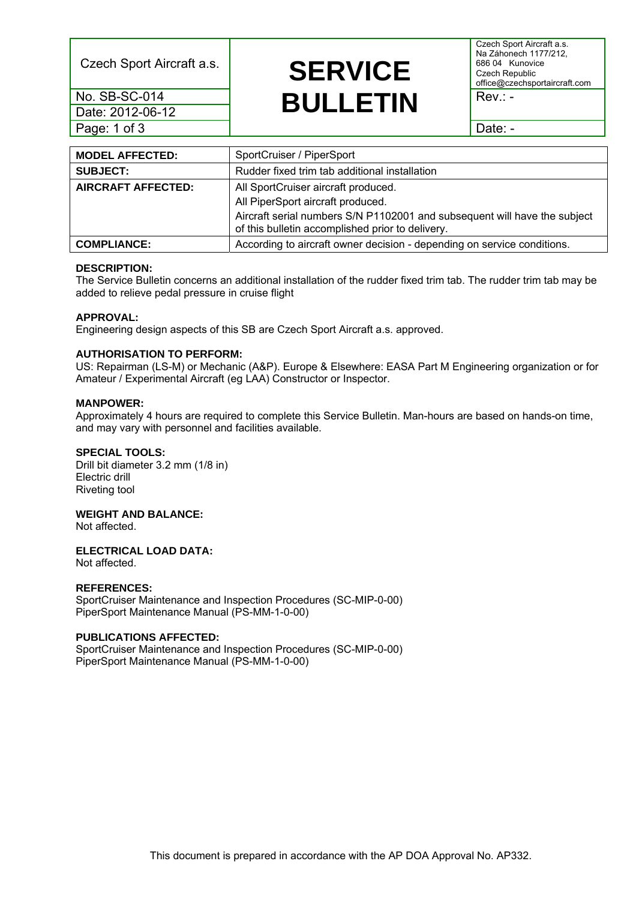Czech Sport Aircraft a.s.

No. SB-SC-014 Date: 2012-06-12 Page: 1 of 3

## **SERVICE BULLETIN**

Czech Sport Aircraft a.s. Na Záhonech 1177/212, 686 04 Kunovice Czech Republic office@czechsportaircraft.com

Rev.: -

Date: -

| <b>MODEL AFFECTED:</b>    | SportCruiser / PiperSport                                                                                                     |  |  |
|---------------------------|-------------------------------------------------------------------------------------------------------------------------------|--|--|
| <b>SUBJECT:</b>           | Rudder fixed trim tab additional installation                                                                                 |  |  |
| <b>AIRCRAFT AFFECTED:</b> | All SportCruiser aircraft produced.                                                                                           |  |  |
|                           | All PiperSport aircraft produced.                                                                                             |  |  |
|                           | Aircraft serial numbers S/N P1102001 and subsequent will have the subject<br>of this bulletin accomplished prior to delivery. |  |  |
| <b>COMPLIANCE:</b>        | According to aircraft owner decision - depending on service conditions.                                                       |  |  |

#### **DESCRIPTION:**

The Service Bulletin concerns an additional installation of the rudder fixed trim tab. The rudder trim tab may be added to relieve pedal pressure in cruise flight

#### **APPROVAL:**

Engineering design aspects of this SB are Czech Sport Aircraft a.s. approved.

#### **AUTHORISATION TO PERFORM:**

US: Repairman (LS-M) or Mechanic (A&P). Europe & Elsewhere: EASA Part M Engineering organization or for Amateur / Experimental Aircraft (eg LAA) Constructor or Inspector.

#### **MANPOWER:**

Approximately 4 hours are required to complete this Service Bulletin. Man-hours are based on hands-on time, and may vary with personnel and facilities available.

#### **SPECIAL TOOLS:**

Drill bit diameter 3.2 mm (1/8 in) Electric drill Riveting tool

#### **WEIGHT AND BALANCE:**

Not affected.

#### **ELECTRICAL LOAD DATA:**

Not affected.

#### **REFERENCES:**

SportCruiser Maintenance and Inspection Procedures (SC-MIP-0-00) PiperSport Maintenance Manual (PS-MM-1-0-00)

#### **PUBLICATIONS AFFECTED:**

SportCruiser Maintenance and Inspection Procedures (SC-MIP-0-00) PiperSport Maintenance Manual (PS-MM-1-0-00)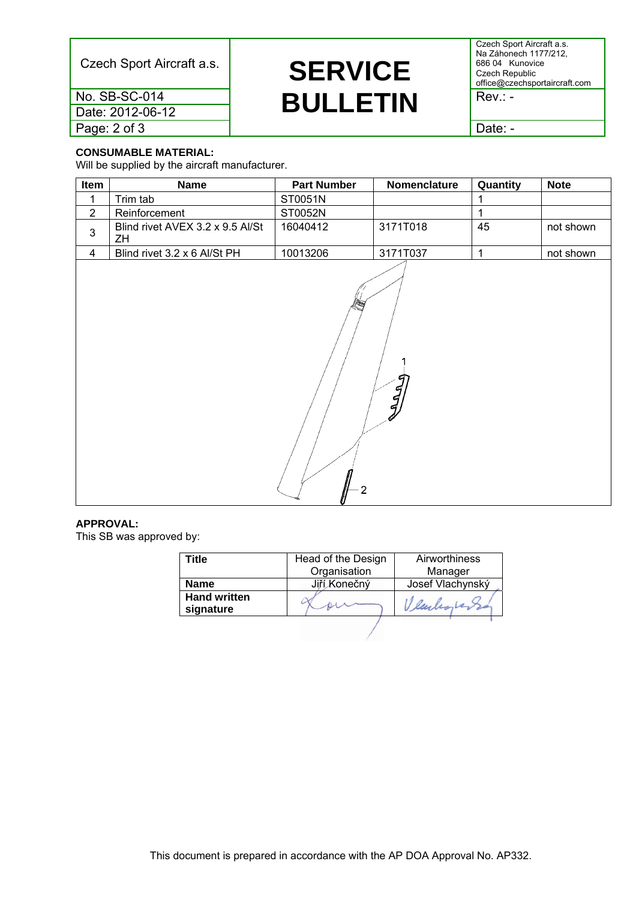Czech Sport Aircraft a.s.

**SERVICE BULLETIN** 

Czech Sport Aircraft a.s. Na Záhonech 1177/212, 686 04 Kunovice Czech Republic office@czechsportaircraft.com

Rev.: -

Date: -

**CONSUMABLE MATERIAL:** 

No. SB-SC-014 Date: 2012-06-12

Page: 2 of 3

Will be supplied by the aircraft manufacturer.

| Item           | <b>Name</b>                            | <b>Part Number</b> | Nomenclature | Quantity     | <b>Note</b> |  |  |
|----------------|----------------------------------------|--------------------|--------------|--------------|-------------|--|--|
| 1              | Trim tab                               | ST0051N            |              | 1            |             |  |  |
| $\overline{2}$ | Reinforcement                          | ST0052N            |              | $\mathbf{1}$ |             |  |  |
| $\mathfrak{S}$ | Blind rivet AVEX 3.2 x 9.5 Al/St<br>ZH | 16040412           | 3171T018     | 45           | not shown   |  |  |
| $\overline{4}$ | Blind rivet 3.2 x 6 Al/St PH           | 10013206           | 3171T037     | $\mathbf{1}$ | not shown   |  |  |
|                | g<br>$\tilde{q}$<br>$\overline{2}$     |                    |              |              |             |  |  |

#### **APPROVAL:**

This SB was approved by:

| Title                            | Head of the Design | Airworthiness    |  |
|----------------------------------|--------------------|------------------|--|
|                                  | Organisation       | Manager          |  |
| <b>Name</b>                      | Jiří Konečný       | Josef Vlachynský |  |
| <b>Hand written</b><br>signature |                    |                  |  |
|                                  |                    |                  |  |